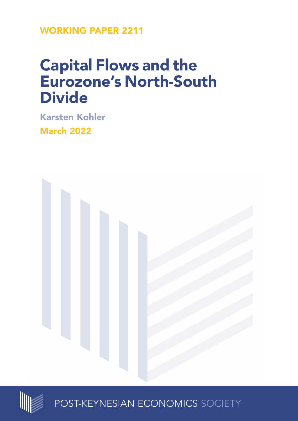**WORKING PAPER 2211**

# **Capital Flows and the Eurozone's North-South Divide**

**Karsten Kohler**

**March 2022**





POST-KEYNESIAN ECONOMICS SOCIETY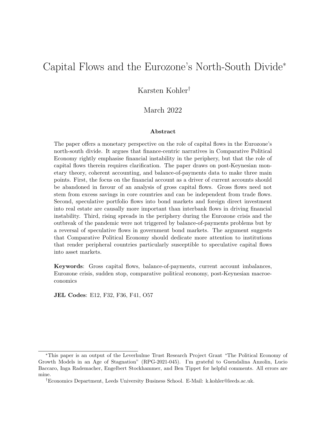# Capital Flows and the Eurozone's North-South Divide<sup>∗</sup>

Karsten Kohler†

#### March 2022

#### Abstract

The paper offers a monetary perspective on the role of capital flows in the Eurozone's north-south divide. It argues that finance-centric narratives in Comparative Political Economy rightly emphasise financial instability in the periphery, but that the role of capital flows therein requires clarification. The paper draws on post-Keynesian monetary theory, coherent accounting, and balance-of-payments data to make three main points. First, the focus on the financial account as a driver of current accounts should be abandoned in favour of an analysis of gross capital flows. Gross flows need not stem from excess savings in core countries and can be independent from trade flows. Second, speculative portfolio flows into bond markets and foreign direct investment into real estate are causally more important than interbank flows in driving financial instability. Third, rising spreads in the periphery during the Eurozone crisis and the outbreak of the pandemic were not triggered by balance-of-payments problems but by a reversal of speculative flows in government bond markets. The argument suggests that Comparative Political Economy should dedicate more attention to institutions that render peripheral countries particularly susceptible to speculative capital flows into asset markets.

Keywords: Gross capital flows, balance-of-payments, current account imbalances, Eurozone crisis, sudden stop, comparative political economy, post-Keynesian macroeconomics

JEL Codes: E12, F32, F36, F41, O57

<sup>∗</sup>This paper is an output of the Leverhulme Trust Research Project Grant "The Political Economy of Growth Models in an Age of Stagnation" (RPG-2021-045). I'm grateful to Guendalina Anzolin, Lucio Baccaro, Inga Rademacher, Engelbert Stockhammer, and Ben Tippet for helpful comments. All errors are mine.

<sup>†</sup>Economics Department, Leeds University Business School. E-Mail: k.kohler@leeds.ac.uk.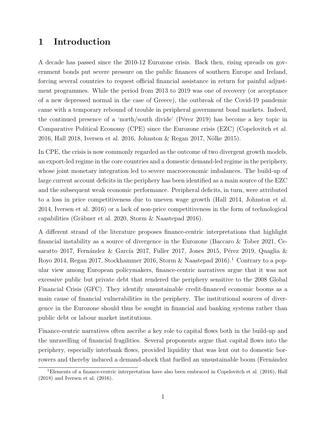### 1 Introduction

A decade has passed since the 2010-12 Eurozone crisis. Back then, rising spreads on government bonds put severe pressure on the public finances of southern Europe and Ireland, forcing several countries to request official financial assistance in return for painful adjustment programmes. While the period from 2013 to 2019 was one of recovery (or acceptance of a new depressed normal in the case of Greece), the outbreak of the Covid-19 pandemic came with a temporary rebound of trouble in peripheral government bond markets. Indeed, the continued presence of a 'north/south divide' (Pérez 2019) has become a key topic in Comparative Political Economy (CPE) since the Eurozone crisis (EZC) [\(Copelovitch et al.](#page-28-0) [2016,](#page-28-0) [Hall 2018,](#page-29-0) [Iversen et al. 2016,](#page-29-1) [Johnston & Regan 2017,](#page-30-0) Nölke 2015).

In CPE, the crisis is now commonly regarded as the outcome of two divergent growth models, an export-led regime in the core countries and a domestic demand-led regime in the periphery, whose joint monetary integration led to severe macroeconomic imbalances. The build-up of large current account deficits in the periphery has been identified as a main source of the EZC and the subsequent weak economic performance. Peripheral deficits, in turn, were attributed to a loss in price competitiveness due to uneven wage growth [\(Hall 2014,](#page-29-2) [Johnston et al.](#page-29-3) [2014,](#page-29-3) [Iversen et al. 2016\)](#page-29-1) or a lack of non-price competitiveness in the form of technological capabilities (Gräbner et al. 2020, Storm  $\&$  Naastepad 2016).

A different strand of the literature proposes finance-centric interpretations that highlight financial instability as a source of divergence in the Eurozone [\(Baccaro & Tober 2021,](#page-27-0) [Ce](#page-28-1)[saratto 2017,](#page-28-1) Fernández & García 2017, [Fuller 2017,](#page-29-5) [Jones 2015,](#page-30-2) Pérez 2019, [Quaglia &](#page-31-2) [Royo 2014,](#page-31-2) [Regan 2017,](#page-31-3) [Stockhammer 2016,](#page-31-4) [Storm & Naastepad 2016\)](#page-31-1).[1](#page-2-0) Contrary to a popular view among European policymakers, finance-centric narratives argue that it was not excessive public but private debt that rendered the periphery sensitive to the 2008 Global Financial Crisis (GFC). They identify unsustainable credit-financed economic booms as a main cause of financial vulnerabilities in the periphery. The institutional sources of divergence in the Eurozone should thus be sought in financial and banking systems rather than public debt or labour market institutions.

Finance-centric narratives often ascribe a key role to capital flows both in the build-up and the unravelling of financial fragilities. Several proponents argue that capital flows into the periphery, especially interbank flows, provided liquidity that was lent out to domestic borrowers and thereby induced a demand-shock that fuelled an unsustainable boom (Fernández

<span id="page-2-0"></span><sup>&</sup>lt;sup>1</sup>[Elements of a finance-centric interpretation have also been embraced in Copelovitch et al. \(2016\), Hall](#page-28-2) [\(2018\) and Iversen et al. \(2016\).](#page-28-2)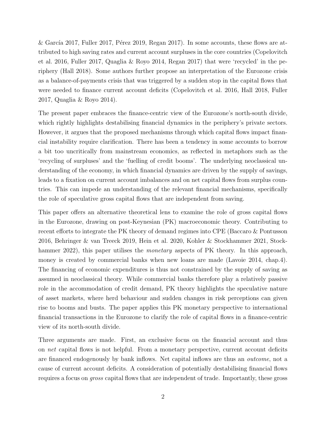& García 2017, [Fuller 2017,](#page-29-5) Pérez 2019, [Regan 2017\)](#page-31-3). In some accounts, these flows are attributed to high saving rates and current account surpluses in the core countries [\(Copelovitch](#page-28-0) [et al. 2016,](#page-28-0) [Fuller 2017,](#page-29-5) [Quaglia & Royo 2014,](#page-31-2) [Regan 2017\)](#page-31-3) that were 'recycled' in the periphery [\(Hall 2018\)](#page-29-0). Some authors further propose an interpretation of the Eurozone crisis as a balance-of-payments crisis that was triggered by a sudden stop in the capital flows that were needed to finance current account deficits [\(Copelovitch et al. 2016,](#page-28-0) [Hall 2018,](#page-29-0) [Fuller](#page-29-5) [2017,](#page-29-5) [Quaglia & Royo 2014\)](#page-31-2).

The present paper embraces the finance-centric view of the Eurozone's north-south divide, which rightly highlights destabilising financial dynamics in the periphery's private sectors. However, it argues that the proposed mechanisms through which capital flows impact financial instability require clarification. There has been a tendency in some accounts to borrow a bit too uncritically from mainstream economics, as reflected in metaphors such as the 'recycling of surpluses' and the 'fuelling of credit booms'. The underlying neoclassical understanding of the economy, in which financial dynamics are driven by the supply of savings, leads to a fixation on current account imbalances and on net capital flows from surplus countries. This can impede an understanding of the relevant financial mechanisms, specifically the role of speculative gross capital flows that are independent from saving.

This paper offers an alternative theoretical lens to examine the role of gross capital flows in the Eurozone, drawing on post-Keynesian (PK) macroeconomic theory. Contributing to recent efforts to integrate the PK theory of demand regimes into CPE [\(Baccaro & Pontusson](#page-27-1) [2016,](#page-27-1) [Behringer & van Treeck 2019,](#page-27-2) [Hein et al. 2020,](#page-29-6) [Kohler & Stockhammer 2021,](#page-30-3) [Stock](#page-31-5)[hammer 2022\)](#page-31-5), this paper utilises the *monetary* aspects of PK theory. In this approach, money is created by commercial banks when new loans are made [\(Lavoie 2014,](#page-30-4) chap.4). The financing of economic expenditures is thus not constrained by the supply of saving as assumed in neoclassical theory. While commercial banks therefore play a relatively passive role in the accommodation of credit demand, PK theory highlights the speculative nature of asset markets, where herd behaviour and sudden changes in risk perceptions can given rise to booms and busts. The paper applies this PK monetary perspective to international financial transactions in the Eurozone to clarify the role of capital flows in a finance-centric view of its north-south divide.

Three arguments are made. First, an exclusive focus on the financial account and thus on net capital flows is not helpful. From a monetary perspective, current account deficits are financed endogenously by bank inflows. Net capital inflows are thus an outcome, not a cause of current account deficits. A consideration of potentially destabilising financial flows requires a focus on gross capital flows that are independent of trade. Importantly, these gross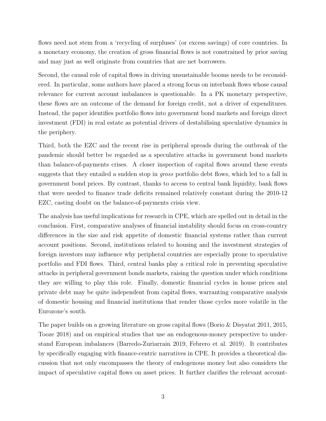flows need not stem from a 'recycling of surpluses' (or excess savings) of core countries. In a monetary economy, the creation of gross financial flows is not constrained by prior saving and may just as well originate from countries that are net borrowers.

Second, the causal role of capital flows in driving unsustainable booms needs to be reconsidered. In particular, some authors have placed a strong focus on interbank flows whose causal relevance for current account imbalances is questionable. In a PK monetary perspective, these flows are an outcome of the demand for foreign credit, not a driver of expenditures. Instead, the paper identifies portfolio flows into government bond markets and foreign direct investment (FDI) in real estate as potential drivers of destabilising speculative dynamics in the periphery.

Third, both the EZC and the recent rise in peripheral spreads during the outbreak of the pandemic should better be regarded as a speculative attacks in government bond markets than balance-of-payments crises. A closer inspection of capital flows around these events suggests that they entailed a sudden stop in *gross* portfolio debt flows, which led to a fall in government bond prices. By contrast, thanks to access to central bank liquidity, bank flows that were needed to finance trade deficits remained relatively constant during the 2010-12 EZC, casting doubt on the balance-of-payments crisis view.

The analysis has useful implications for research in CPE, which are spelled out in detail in the conclusion. First, comparative analyses of financial instability should focus on cross-country differences in the size and risk appetite of domestic financial systems rather than current account positions. Second, institutions related to housing and the investment strategies of foreign investors may influence why peripheral countries are especially prone to speculative portfolio and FDI flows. Third, central banks play a critical role in preventing speculative attacks in peripheral government bonds markets, raising the question under which conditions they are willing to play this role. Finally, domestic financial cycles in house prices and private debt may be quite independent from capital flows, warranting comparative analysis of domestic housing and financial institutions that render those cycles more volatile in the Eurozone's south.

The paper builds on a growing literature on gross capital flows [\(Borio & Disyatat 2011,](#page-27-3) [2015,](#page-27-4) [Tooze 2018\)](#page-31-6) and on empirical studies that use an endogenous-money perspective to understand European imbalances [\(Barredo-Zuriarrain 2019,](#page-27-5) [Febrero et al. 2019\)](#page-28-3). It contributes by specifically engaging with finance-centric narratives in CPE. It provides a theoretical discussion that not only encompasses the theory of endogenous money but also considers the impact of speculative capital flows on asset prices. It further clarifies the relevant account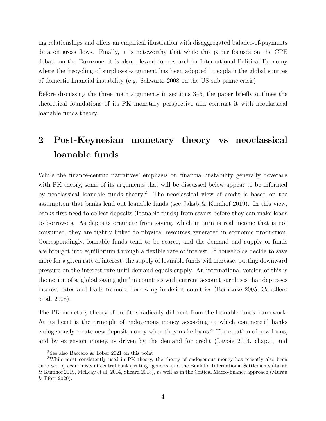ing relationships and offers an empirical illustration with disaggregated balance-of-payments data on gross flows. Finally, it is noteworthy that while this paper focuses on the CPE debate on the Eurozone, it is also relevant for research in International Political Economy where the 'recycling of surpluses'-argument has been adopted to explain the global sources of domestic financial instability (e.g. [Schwartz 2008](#page-31-7) on the US sub-prime crisis).

Before discussing the three main arguments in sections [3](#page-7-0)[–5,](#page-18-0) the paper briefly outlines the theoretical foundations of its PK monetary perspective and contrast it with neoclassical loanable funds theory.

# 2 Post-Keynesian monetary theory vs neoclassical loanable funds

While the finance-centric narratives' emphasis on financial instability generally dovetails with PK theory, some of its arguments that will be discussed below appear to be informed by neoclassical loanable funds theory.[2](#page-5-0) The neoclassical view of credit is based on the assumption that banks lend out loanable funds (see [Jakab & Kumhof 2019\)](#page-29-7). In this view, banks first need to collect deposits (loanable funds) from savers before they can make loans to borrowers. As deposits originate from saving, which in turn is real income that is not consumed, they are tightly linked to physical resources generated in economic production. Correspondingly, loanable funds tend to be scarce, and the demand and supply of funds are brought into equilibrium through a flexible rate of interest. If households decide to save more for a given rate of interest, the supply of loanable funds will increase, putting downward pressure on the interest rate until demand equals supply. An international version of this is the notion of a 'global saving glut' in countries with current account surpluses that depresses interest rates and leads to more borrowing in deficit countries [\(Bernanke 2005,](#page-27-6) [Caballero](#page-28-4) [et al. 2008\)](#page-28-4).

The PK monetary theory of credit is radically different from the loanable funds framework. At its heart is the principle of endogenous money according to which commercial banks endogenously create new deposit money when they make loans.<sup>[3](#page-5-1)</sup> The creation of new loans, and by extension money, is driven by the demand for credit [\(Lavoie 2014,](#page-30-4) chap.4, and

<span id="page-5-1"></span><span id="page-5-0"></span><sup>&</sup>lt;sup>2</sup>See also Baccaro  $\&$  Tober 2021 on this point.

<sup>&</sup>lt;sup>3</sup>While most consistently used in PK theory, the theory of endogenous money has recently also been endorsed by economists at central banks, rating agencies, and the Bank for International Settlements [\(Jakab](#page-29-7) [& Kumhof 2019,](#page-29-7) [McLeay et al. 2014,](#page-30-5) [Sheard 2013\)](#page-31-8), as well as in the Critical Macro-finance approach [\(Murau](#page-30-6) [& Pforr 2020\)](#page-30-6).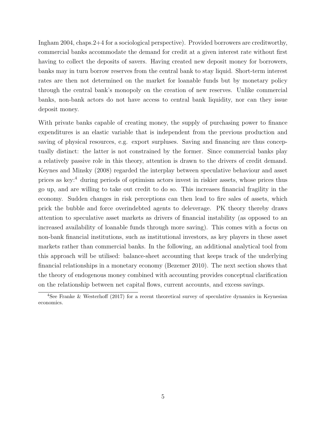[Ingham 2004,](#page-29-8) chaps.2+4 for a sociological perspective). Provided borrowers are creditworthy, commercial banks accommodate the demand for credit at a given interest rate without first having to collect the deposits of savers. Having created new deposit money for borrowers, banks may in turn borrow reserves from the central bank to stay liquid. Short-term interest rates are then not determined on the market for loanable funds but by monetary policy through the central bank's monopoly on the creation of new reserves. Unlike commercial banks, non-bank actors do not have access to central bank liquidity, nor can they issue deposit money.

With private banks capable of creating money, the supply of purchasing power to finance expenditures is an elastic variable that is independent from the previous production and saving of physical resources, e.g. export surpluses. Saving and financing are thus conceptually distinct: the latter is not constrained by the former. Since commercial banks play a relatively passive role in this theory, attention is drawn to the drivers of credit demand. Keynes and [Minsky](#page-30-7) [\(2008\)](#page-30-7) regarded the interplay between speculative behaviour and asset prices as key:[4](#page-6-0) during periods of optimism actors invest in riskier assets, whose prices thus go up, and are willing to take out credit to do so. This increases financial fragility in the economy. Sudden changes in risk perceptions can then lead to fire sales of assets, which prick the bubble and force overindebted agents to deleverage. PK theory thereby draws attention to speculative asset markets as drivers of financial instability (as opposed to an increased availability of loanable funds through more saving). This comes with a focus on non-bank financial institutions, such as institutional investors, as key players in these asset markets rather than commercial banks. In the following, an additional analytical tool from this approach will be utilised: balance-sheet accounting that keeps track of the underlying financial relationships in a monetary economy [\(Bezemer 2010\)](#page-27-7). The next section shows that the theory of endogenous money combined with accounting provides conceptual clarification on the relationship between net capital flows, current accounts, and excess savings.

<span id="page-6-0"></span><sup>4</sup>See [Franke & Westerhoff](#page-28-5) [\(2017\)](#page-28-5) for a recent theoretical survey of speculative dynamics in Keynesian economics.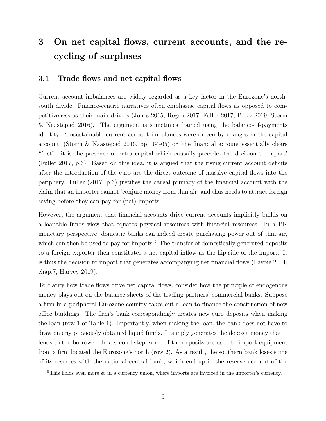# <span id="page-7-0"></span>3 On net capital flows, current accounts, and the recycling of surpluses

### 3.1 Trade flows and net capital flows

Current account imbalances are widely regarded as a key factor in the Eurozone's northsouth divide. Finance-centric narratives often emphasise capital flows as opposed to com-petitiveness as their main drivers [\(Jones 2015,](#page-30-2) [Regan 2017,](#page-31-3) [Fuller 2017,](#page-29-5) Pérez 2019, [Storm](#page-31-1) [& Naastepad 2016\)](#page-31-1). The argument is sometimes framed using the balance-of-payments identity: 'unsustainable current account imbalances were driven by changes in the capital account' [\(Storm & Naastepad 2016,](#page-31-1) pp. 64-65) or 'the financial account essentially clears "first": it is the presence of extra capital which causally precedes the decision to import' [\(Fuller 2017,](#page-29-5) p.6). Based on this idea, it is argued that the rising current account deficits after the introduction of the euro are the direct outcome of massive capital flows into the periphery. Fuller (2017, p.6) justifies the causal primacy of the financial account with the claim that an importer cannot 'conjure money from thin air' and thus needs to attract foreign saving before they can pay for (net) imports.

However, the argument that financial accounts drive current accounts implicitly builds on a loanable funds view that equates physical resources with financial resources. In a PK monetary perspective, domestic banks can indeed create purchasing power out of thin air, which can then be used to pay for imports.<sup>[5](#page-7-1)</sup> The transfer of domestically generated deposits to a foreign exporter then constitutes a net capital inflow as the flip-side of the import. It is thus the decision to import that generates accompanying net financial flows [\(Lavoie 2014,](#page-30-4) chap.7, [Harvey 2019\)](#page-29-9).

To clarify how trade flows drive net capital flows, consider how the principle of endogenous money plays out on the balance sheets of the trading partners' commercial banks. Suppose a firm in a peripheral Eurozone country takes out a loan to finance the construction of new office buildings. The firm's bank correspondingly creates new euro deposits when making the loan (row 1 of Table [1\)](#page-8-0). Importantly, when making the loan, the bank does not have to draw on any previously obtained liquid funds. It simply generates the deposit money that it lends to the borrower. In a second step, some of the deposits are used to import equipment from a firm located the Eurozone's north (row 2). As a result, the southern bank loses some of its reserves with the national central bank, which end up in the reserve account of the

<span id="page-7-1"></span><sup>&</sup>lt;sup>5</sup>This holds even more so in a currency union, where imports are invoiced in the importer's currency.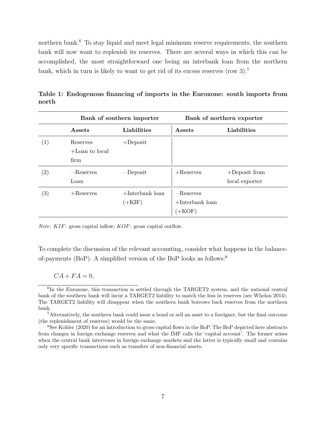northern bank.<sup>[6](#page-8-1)</sup> To stay liquid and meet legal minimum reserve requirements, the southern bank will now want to replenish its reserves. There are several ways in which this can be accomplished, the most straightforward one being an interbank loan from the northern bank, which in turn is likely to want to get rid of its excess reserves (row 3).[7](#page-8-2)

<span id="page-8-0"></span>

|                   | Bank of southern importer             |                                         | Bank of northern exporter                     |                                    |
|-------------------|---------------------------------------|-----------------------------------------|-----------------------------------------------|------------------------------------|
|                   | Assets                                | Liabilities                             | Assets                                        | Liabilities                        |
| (1)               | Reserves<br>$+$ Loan to local<br>firm | $+$ Deposit                             |                                               |                                    |
| $\left( 2\right)$ | $-$ Reserves<br>Loan                  | $-Deposit$                              | $+$ Reserves                                  | $+$ Deposit from<br>local exporter |
| $\left( 3\right)$ | $+$ Reserves                          | $+$ Interbank loan<br>$(+\mathrm{KIF})$ | $-Reserves$<br>$+$ Interbank loan<br>$(+KOF)$ |                                    |

Table 1: Endogenous financing of imports in the Eurozone: south imports from north

Note: KIF: gross capital inflow; KOF: gross capital outflow.

To complete the discussion of the relevant accounting, consider what happens in the balanceof-payments (BoP). A simplified version of the BoP looks as follows:[8](#page-8-3)

 $CA + FA = 0$ ,

<span id="page-8-1"></span><sup>&</sup>lt;sup>6</sup>In the Eurozone, this transaction is settled through the TARGET2 system, and the national central bank of the southern bank will incur a TARGET2 liability to match the loss in reserves (see [Whelan 2014\)](#page-31-9). The TARGET2 liability will disappear when the southern bank borrows back reserves from the northern bank.

<span id="page-8-2"></span><sup>7</sup>Alternatively, the southern bank could issue a bond or sell an asset to a foreigner, but the final outcome (the replenishment of reserves) would be the same.

<span id="page-8-3"></span><sup>8</sup>See [Kohler](#page-30-8) [\(2020\)](#page-30-8) for an introduction to gross capital flows in the BoP. The BoP depicted here abstracts from changes in foreign exchange reserves and what the IMF calls the 'capital account'. The former arises when the central bank intervenes in foreign exchange markets and the latter is typically small and contains only very specific transactions such as transfers of non-financial assets.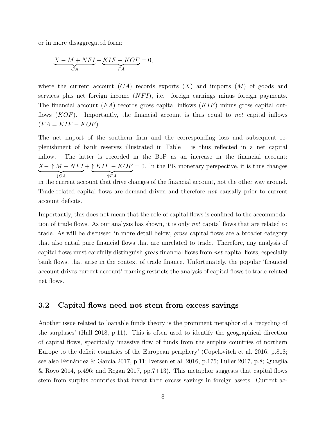or in more disaggregated form:

$$
\underbrace{X - M + NFI}_{CA} + \underbrace{KIF - KOF}_{FA} = 0,
$$

where the current account  $(CA)$  records exports  $(X)$  and imports  $(M)$  of goods and services plus net foreign income  $(NFI)$ , i.e. foreign earnings minus foreign payments. The financial account  $(FA)$  records gross capital inflows  $(KIF)$  minus gross capital outflows  $(KOF)$ . Importantly, the financial account is thus equal to net capital inflows  $(FA = KIF - KOF).$ 

The net import of the southern firm and the corresponding loss and subsequent replenishment of bank reserves illustrated in Table [1](#page-8-0) is thus reflected in a net capital inflow. The latter is recorded in the BoP as an increase in the financial account:  $X-\uparrow M+NFI$  $\downarrow$ CA  $+ \uparrow KIF - KOF$  $\uparrow$  FA  $= 0$ . In the PK monetary perspective, it is thus changes in the current account that drive changes of the financial account, not the other way around.

Trade-related capital flows are demand-driven and therefore not causally prior to current account deficits.

Importantly, this does not mean that the role of capital flows is confined to the accommodation of trade flows. As our analysis has shown, it is only net capital flows that are related to trade. As will be discussed in more detail below, gross capital flows are a broader category that also entail pure financial flows that are unrelated to trade. Therefore, any analysis of capital flows must carefully distinguish gross financial flows from net capital flows, especially bank flows, that arise in the context of trade finance. Unfortunately, the popular 'financial account drives current account' framing restricts the analysis of capital flows to trade-related net flows.

#### 3.2 Capital flows need not stem from excess savings

Another issue related to loanable funds theory is the prominent metaphor of a 'recycling of the surpluses' [\(Hall 2018,](#page-29-0) p.11). This is often used to identify the geographical direction of capital flows, specifically 'massive flow of funds from the surplus countries of northern Europe to the deficit countries of the European periphery' [\(Copelovitch et al. 2016,](#page-28-0) p.818; see also Fernández & García 2017, p.11; [Iversen et al. 2016,](#page-29-1) p.175; [Fuller 2017,](#page-29-5) p.8; [Quaglia](#page-31-2) [& Royo 2014,](#page-31-2) p.496; and [Regan 2017,](#page-31-3) pp.7+13). This metaphor suggests that capital flows stem from surplus countries that invest their excess savings in foreign assets. Current ac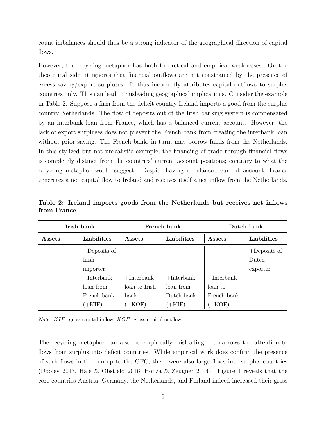count imbalances should thus be a strong indicator of the geographical direction of capital flows.

However, the recycling metaphor has both theoretical and empirical weaknesses. On the theoretical side, it ignores that financial outflows are not constrained by the presence of excess saving/export surpluses. It thus incorrectly attributes capital outflows to surplus countries only. This can lead to misleading geographical implications. Consider the example in Table [2.](#page-10-0) Suppose a firm from the deficit country Ireland imports a good from the surplus country Netherlands. The flow of deposits out of the Irish banking system is compensated by an interbank loan from France, which has a balanced current account. However, the lack of export surpluses does not prevent the French bank from creating the interbank loan without prior saving. The French bank, in turn, may borrow funds from the Netherlands. In this stylized but not unrealistic example, the financing of trade through financial flows is completely distinct from the countries' current account positions; contrary to what the recycling metaphor would suggest. Despite having a balanced current account, France generates a net capital flow to Ireland and receives itself a net inflow from the Netherlands.

<span id="page-10-0"></span>

| Irish bank |                | French bank   |               | Dutch bank    |                 |
|------------|----------------|---------------|---------------|---------------|-----------------|
| Assets     | Liabilities    | Assets        | Liabilities   | Assets        | Liabilities     |
|            | $-Deposits$ of |               |               |               | $+$ Deposits of |
|            | Irish          |               |               |               | Dutch           |
|            | importer       |               |               |               | exporter        |
|            | $+$ Interbank  | $+$ Interbank | $+$ Interbank | $+$ Interbank |                 |
|            | loan from      | loan to Irish | loan from     | loan to       |                 |
|            | French bank    | bank          | Dutch bank    | French bank   |                 |
|            | $(+KIF)$       | $(+KOF)$      | $(+KIF)$      | $+$ KOF)      |                 |

Table 2: Ireland imports goods from the Netherlands but receives net inflows from France

Note: KIF: gross capital inflow; KOF: gross capital outflow.

The recycling metaphor can also be empirically misleading. It narrows the attention to flows from surplus into deficit countries. While empirical work does confirm the presence of such flows in the run-up to the GFC, there were also large flows into surplus countries [\(Dooley 2017,](#page-28-6) [Hale & Obstfeld 2016,](#page-29-10) [Hobza & Zeugner 2014\)](#page-29-11). Figure [1](#page-11-0) reveals that the core countries Austria, Germany, the Netherlands, and Finland indeed increased their gross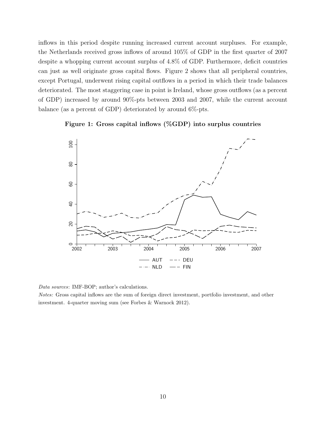inflows in this period despite running increased current account surpluses. For example, the Netherlands received gross inflows of around 105% of GDP in the first quarter of 2007 despite a whopping current account surplus of 4.8% of GDP. Furthermore, deficit countries can just as well originate gross capital flows. Figure [2](#page-12-0) shows that all peripheral countries, except Portugal, underwent rising capital outflows in a period in which their trade balances deteriorated. The most staggering case in point is Ireland, whose gross outflows (as a percent of GDP) increased by around 90%-pts between 2003 and 2007, while the current account balance (as a percent of GDP) deteriorated by around 6%-pts.

<span id="page-11-0"></span>



Data sources: IMF-BOP; author's calculations.

Notes: Gross capital inflows are the sum of foreign direct investment, portfolio investment, and other investment. 4-quarter moving sum (see [Forbes & Warnock 2012\)](#page-28-7).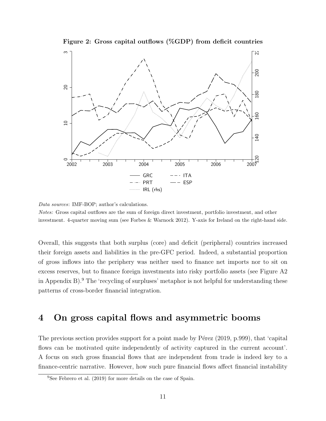

<span id="page-12-0"></span>

Data sources: IMF-BOP; author's calculations.

Notes: Gross capital outflows are the sum of foreign direct investment, portfolio investment, and other investment. 4-quarter moving sum (see [Forbes & Warnock 2012\)](#page-28-7). Y-axis for Ireland on the right-hand side.

Overall, this suggests that both surplus (core) and deficit (peripheral) countries increased their foreign assets and liabilities in the pre-GFC period. Indeed, a substantial proportion of gross inflows into the periphery was neither used to finance net imports nor to sit on excess reserves, but to finance foreign investments into risky portfolio assets (see Figure [A2](#page-34-0) in Appendix [B\)](#page-34-1).<sup>[9](#page-12-1)</sup> The 'recycling of surpluses' metaphor is not helpful for understanding these patterns of cross-border financial integration.

### <span id="page-12-2"></span>4 On gross capital flows and asymmetric booms

The previous section provides support for a point made by P $\acute{e}$ rez [\(2019,](#page-31-0) p.999), that 'capital flows can be motivated quite independently of activity captured in the current account'. A focus on such gross financial flows that are independent from trade is indeed key to a finance-centric narrative. However, how such pure financial flows affect financial instability

<span id="page-12-1"></span><sup>9</sup>See [Febrero et al.](#page-28-3) [\(2019\)](#page-28-3) for more details on the case of Spain.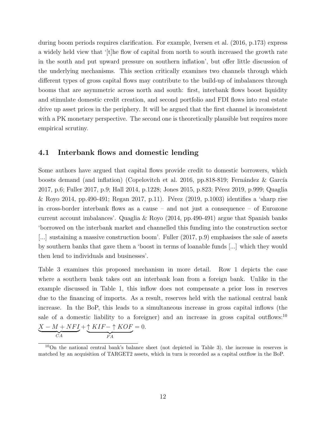during boom periods requires clarification. For example, [Iversen et al.](#page-29-1) [\(2016,](#page-29-1) p.173) express a widely held view that '[t]he flow of capital from north to south increased the growth rate in the south and put upward pressure on southern inflation', but offer little discussion of the underlying mechanisms. This section critically examines two channels through which different types of gross capital flows may contribute to the build-up of imbalances through booms that are asymmetric across north and south: first, interbank flows boost liquidity and stimulate domestic credit creation, and second portfolio and FDI flows into real estate drive up asset prices in the periphery. It will be argued that the first channel is inconsistent with a PK monetary perspective. The second one is theoretically plausible but requires more empirical scrutiny.

#### 4.1 Interbank flows and domestic lending

Some authors have argued that capital flows provide credit to domestic borrowers, which boosts demand (and inflation) [\(Copelovitch et al. 2016,](#page-28-0) pp.818-819; Fernández & García [2017,](#page-28-2) p.6; [Fuller 2017,](#page-29-5) p.9; [Hall 2014,](#page-29-2) p.1228; [Jones 2015,](#page-30-2) p.823; Pérez 2019, p.999; [Quaglia](#page-31-2) [& Royo 2014,](#page-31-2) pp.490-491; [Regan 2017,](#page-31-3) p.11). Pérez [\(2019,](#page-31-0) p.1003) identifies a 'sharp rise in cross-border interbank flows as a cause – and not just a consequence – of Eurozone current account imbalances'. [Quaglia & Royo](#page-31-2) [\(2014,](#page-31-2) pp.490-491) argue that Spanish banks 'borrowed on the interbank market and channelled this funding into the construction sector [...] sustaining a massive construction boom'. [Fuller](#page-29-5) [\(2017,](#page-29-5) p.9) emphasises the sale of assets by southern banks that gave them a 'boost in terms of loanable funds [...] which they would then lend to individuals and businesses'.

Table [3](#page-14-0) examines this proposed mechanism in more detail. Row 1 depicts the case where a southern bank takes out an interbank loan from a foreign bank. Unlike in the example discussed in Table [1,](#page-8-0) this inflow does not compensate a prior loss in reserves due to the financing of imports. As a result, reserves held with the national central bank increase. In the BoP, this leads to a simultaneous increase in gross capital inflows (the sale of a domestic liability to a foreigner) and an increase in gross capital outflows:<sup>[10](#page-13-0)</sup>  $X - M + NFI$  $\overline{CA}$  $+\uparrow KIF-\uparrow KOF$  $FA$  $= 0.$ 

<span id="page-13-0"></span><sup>10</sup>On the national central bank's balance sheet (not depicted in Table [3\)](#page-14-0), the increase in reserves is matched by an acquisition of TARGET2 assets, which in turn is recorded as a capital outflow in the BoP.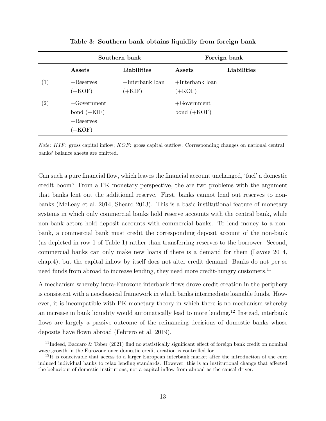<span id="page-14-0"></span>

|                   | Southern bank                                              |                               |                              | Foreign bank |
|-------------------|------------------------------------------------------------|-------------------------------|------------------------------|--------------|
|                   | Assets                                                     | Liabilities                   | Assets                       | Liabilities  |
| $\left( 1\right)$ | $+$ Reserves<br>$+KOF$                                     | $+$ Interbank loan<br>$+KIF)$ | $+$ Interbank loan<br>$+KOF$ |              |
| $\left( 2\right)$ | $-Gover$ ment<br>bond $(+KIF)$<br>$+$ Reserves<br>$(+KOF)$ |                               | $+Gover$<br>bond $(+KOF)$    |              |

Table 3: Southern bank obtains liquidity from foreign bank

Note: KIF: gross capital inflow; KOF: gross capital outflow. Corresponding changes on national central banks' balance sheets are omitted.

Can such a pure financial flow, which leaves the financial account unchanged, 'fuel' a domestic credit boom? From a PK monetary perspective, the are two problems with the argument that banks lent out the additional reserve. First, banks cannot lend out reserves to nonbanks [\(McLeay et al. 2014,](#page-30-5) [Sheard 2013\)](#page-31-8). This is a basic institutional feature of monetary systems in which only commercial banks hold reserve accounts with the central bank, while non-bank actors hold deposit accounts with commercial banks. To lend money to a nonbank, a commercial bank must credit the corresponding deposit account of the non-bank (as depicted in row 1 of Table [1\)](#page-8-0) rather than transferring reserves to the borrower. Second, commercial banks can only make new loans if there is a demand for them [\(Lavoie 2014,](#page-30-4) chap.4), but the capital inflow by itself does not alter credit demand. Banks do not per se need funds from abroad to increase lending, they need more credit-hungry customers.<sup>[11](#page-14-1)</sup>

A mechanism whereby intra-Eurozone interbank flows drove credit creation in the periphery is consistent with a neoclassical framework in which banks intermediate loanable funds. However, it is incompatible with PK monetary theory in which there is no mechanism whereby an increase in bank liquidity would automatically lead to more lending.[12](#page-14-2) Instead, interbank flows are largely a passive outcome of the refinancing decisions of domestic banks whose deposits have flown abroad [\(Febrero et al. 2019\)](#page-28-3).

<span id="page-14-1"></span><sup>&</sup>lt;sup>11</sup>Indeed, [Baccaro & Tober](#page-27-0) [\(2021\)](#page-27-0) find no statistically significant effect of foreign bank credit on nominal wage growth in the Eurozone once domestic credit creation is controlled for.

<span id="page-14-2"></span> $12$ It is conceivable that access to a larger European interbank market after the introduction of the euro induced individual banks to relax lending standards. However, this is an institutional change that affected the behaviour of domestic institutions, not a capital inflow from abroad as the causal driver.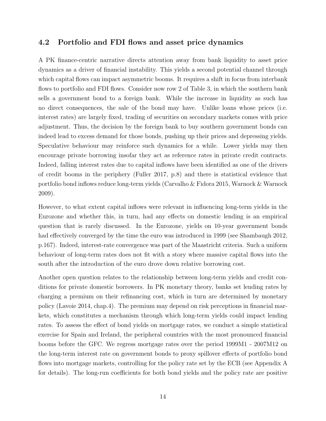#### 4.2 Portfolio and FDI flows and asset price dynamics

A PK finance-centric narrative directs attention away from bank liquidity to asset price dynamics as a driver of financial instability. This yields a second potential channel through which capital flows can impact asymmetric booms. It requires a shift in focus from interbank flows to portfolio and FDI flows. Consider now row 2 of Table [3,](#page-14-0) in which the southern bank sells a government bond to a foreign bank. While the increase in liquidity as such has no direct consequences, the sale of the bond may have. Unlike loans whose prices (i.e. interest rates) are largely fixed, trading of securities on secondary markets comes with price adjustment. Thus, the decision by the foreign bank to buy southern government bonds can indeed lead to excess demand for those bonds, pushing up their prices and depressing yields. Speculative behaviour may reinforce such dynamics for a while. Lower yields may then encourage private borrowing insofar they act as reference rates in private credit contracts. Indeed, falling interest rates due to capital inflows have been identified as one of the drivers of credit booms in the periphery [\(Fuller 2017,](#page-29-5) p.8) and there is statistical evidence that portfolio bond inflows reduce long-term yields [\(Carvalho & Fidora 2015,](#page-28-8) [Warnock & Warnock](#page-31-10) [2009\)](#page-31-10).

However, to what extent capital inflows were relevant in influencing long-term yields in the Eurozone and whether this, in turn, had any effects on domestic lending is an empirical question that is rarely discussed. In the Eurozone, yields on 10-year government bonds had effectively converged by the time the euro was introduced in 1999 (see [Shambaugh 2012,](#page-31-11) p.167). Indeed, interest-rate convergence was part of the Maastricht criteria. Such a uniform behaviour of long-term rates does not fit with a story where massive capital flows into the south after the introduction of the euro drove down relative borrowing cost.

Another open question relates to the relationship between long-term yields and credit conditions for private domestic borrowers. In PK monetary theory, banks set lending rates by charging a premium on their refinancing cost, which in turn are determined by monetary policy [\(Lavoie 2014,](#page-30-4) chap.4). The premium may depend on risk perceptions in financial markets, which constitutes a mechanism through which long-term yields could impact lending rates. To assess the effect of bond yields on mortgage rates, we conduct a simple statistical exercise for Spain and Ireland, the peripheral countries with the most pronounced financial booms before the GFC. We regress mortgage rates over the period 1999M1 - 2007M12 on the long-term interest rate on government bonds to proxy spillover effects of portfolio bond flows into mortgage markets, controlling for the policy rate set by the ECB (see Appendix [A](#page-32-0) for details). The long-run coefficients for both bond yields and the policy rate are positive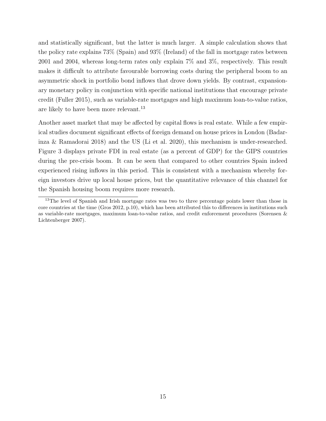and statistically significant, but the latter is much larger. A simple calculation shows that the policy rate explains 73% (Spain) and 93% (Ireland) of the fall in mortgage rates between 2001 and 2004, whereas long-term rates only explain 7% and 3%, respectively. This result makes it difficult to attribute favourable borrowing costs during the peripheral boom to an asymmetric shock in portfolio bond inflows that drove down yields. By contrast, expansionary monetary policy in conjunction with specific national institutions that encourage private credit [\(Fuller 2015\)](#page-29-12), such as variable-rate mortgages and high maximum loan-to-value ratios, are likely to have been more relevant.<sup>[13](#page-16-0)</sup>

Another asset market that may be affected by capital flows is real estate. While a few empirical studies document significant effects of foreign demand on house prices in London [\(Badar](#page-27-8)[inza & Ramadorai 2018\)](#page-27-8) and the US [\(Li et al. 2020\)](#page-30-9), this mechanism is under-researched. Figure [3](#page-17-0) displays private FDI in real estate (as a percent of GDP) for the GIPS countries during the pre-crisis boom. It can be seen that compared to other countries Spain indeed experienced rising inflows in this period. This is consistent with a mechanism whereby foreign investors drive up local house prices, but the quantitative relevance of this channel for the Spanish housing boom requires more research.

<span id="page-16-0"></span><sup>13</sup>The level of Spanish and Irish mortgage rates was two to three percentage points lower than those in core countries at the time [\(Gros 2012,](#page-29-13) p.10), which has been attributed this to differences in institutions such as variable-rate mortgages, maximum loan-to-value ratios, and credit enforcement procedures [\(Sorensen &](#page-31-12) [Lichtenberger 2007\)](#page-31-12).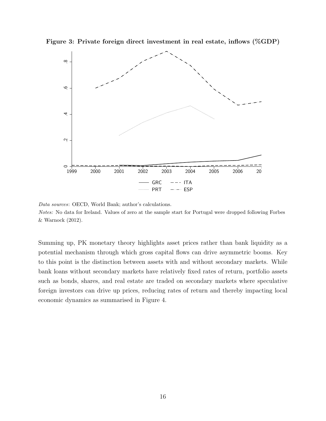<span id="page-17-0"></span>Figure 3: Private foreign direct investment in real estate, inflows (%GDP)



Data sources: OECD, World Bank; author's calculations. Notes: No data for Ireland. Values of zero at the sample start for Portugal were dropped following [Forbes](#page-28-7) [& Warnock](#page-28-7) [\(2012\)](#page-28-7).

Summing up, PK monetary theory highlights asset prices rather than bank liquidity as a potential mechanism through which gross capital flows can drive asymmetric booms. Key to this point is the distinction between assets with and without secondary markets. While bank loans without secondary markets have relatively fixed rates of return, portfolio assets such as bonds, shares, and real estate are traded on secondary markets where speculative foreign investors can drive up prices, reducing rates of return and thereby impacting local economic dynamics as summarised in Figure [4.](#page-18-1)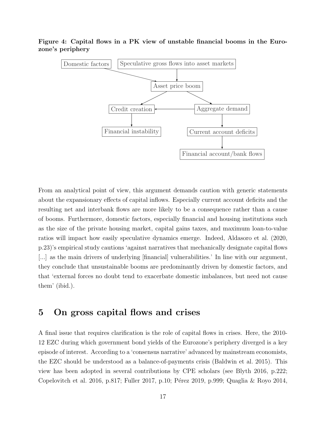

<span id="page-18-1"></span>Figure 4: Capital flows in a PK view of unstable financial booms in the Eurozone's periphery

From an analytical point of view, this argument demands caution with generic statements about the expansionary effects of capital inflows. Especially current account deficits and the resulting net and interbank flows are more likely to be a consequence rather than a cause of booms. Furthermore, domestic factors, especially financial and housing institutions such as the size of the private housing market, capital gains taxes, and maximum loan-to-value ratios will impact how easily speculative dynamics emerge. Indeed, [Aldasoro et al.](#page-27-9) [\(2020,](#page-27-9) p.23)'s empirical study cautions 'against narratives that mechanically designate capital flows [...] as the main drivers of underlying [financial] vulnerabilities.' In line with our argument, they conclude that unsustainable booms are predominantly driven by domestic factors, and that 'external forces no doubt tend to exacerbate domestic imbalances, but need not cause them' (ibid.).

### <span id="page-18-0"></span>5 On gross capital flows and crises

A final issue that requires clarification is the role of capital flows in crises. Here, the 2010- 12 EZC during which government bond yields of the Eurozone's periphery diverged is a key episode of interest. According to a 'consensus narrative' advanced by mainstream economists, the EZC should be understood as a balance-of-payments crisis [\(Baldwin et al. 2015\)](#page-27-10). This view has been adopted in several contributions by CPE scholars (see [Blyth 2016,](#page-27-11) p.222; [Copelovitch et al. 2016,](#page-28-0) p.817; [Fuller 2017,](#page-29-5) p.10; Pérez 2019, p.999; [Quaglia & Royo 2014,](#page-31-2)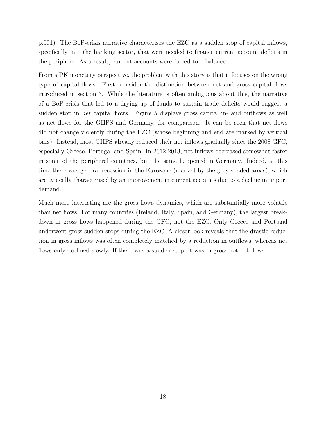p.501). The BoP-crisis narrative characterises the EZC as a sudden stop of capital inflows, specifically into the banking sector, that were needed to finance current account deficits in the periphery. As a result, current accounts were forced to rebalance.

From a PK monetary perspective, the problem with this story is that it focuses on the wrong type of capital flows. First, consider the distinction between net and gross capital flows introduced in section [3.](#page-7-0) While the literature is often ambiguous about this, the narrative of a BoP-crisis that led to a drying-up of funds to sustain trade deficits would suggest a sudden stop in net capital flows. Figure [5](#page-20-0) displays gross capital in- and outflows as well as net flows for the GIIPS and Germany, for comparison. It can be seen that net flows did not change violently during the EZC (whose beginning and end are marked by vertical bars). Instead, most GIIPS already reduced their net inflows gradually since the 2008 GFC, especially Greece, Portugal and Spain. In 2012-2013, net inflows decreased somewhat faster in some of the peripheral countries, but the same happened in Germany. Indeed, at this time there was general recession in the Eurozone (marked by the grey-shaded areas), which are typically characterised by an improvement in current accounts due to a decline in import demand.

Much more interesting are the gross flows dynamics, which are substantially more volatile than net flows. For many countries (Ireland, Italy, Spain, and Germany), the largest breakdown in gross flows happened during the GFC, not the EZC. Only Greece and Portugal underwent gross sudden stops during the EZC. A closer look reveals that the drastic reduction in gross inflows was often completely matched by a reduction in outflows, whereas net flows only declined slowly. If there was a sudden stop, it was in gross not net flows.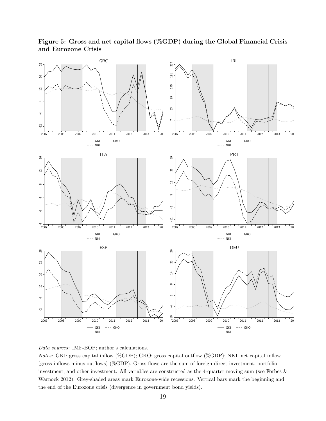<span id="page-20-0"></span>

Figure 5: Gross and net capital flows (%GDP) during the Global Financial Crisis and Eurozone Crisis



Notes: GKI: gross capital inflow (%GDP); GKO: gross capital outflow (%GDP); NKI: net capital inflow (gross inflows minus outflows) (%GDP). Gross flows are the sum of foreign direct investment, portfolio investment, and other investment. All variables are constructed as the 4-quarter moving sum (see [Forbes &](#page-28-7) [Warnock 2012\)](#page-28-7). Grey-shaded areas mark Eurozone-wide recessions. Vertical bars mark the beginning and the end of the Eurozone crisis (divergence in government bond yields).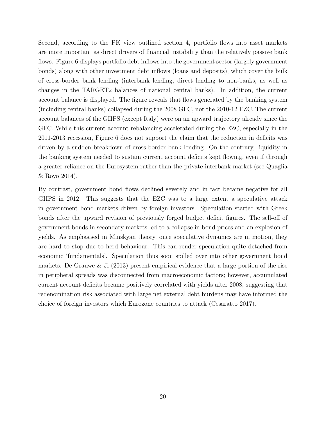Second, according to the PK view outlined section [4,](#page-12-2) portfolio flows into asset markets are more important as direct drivers of financial instability than the relatively passive bank flows. Figure [6](#page-22-0) displays portfolio debt inflows into the government sector (largely government bonds) along with other investment debt inflows (loans and deposits), which cover the bulk of cross-border bank lending (interbank lending, direct lending to non-banks, as well as changes in the TARGET2 balances of national central banks). In addition, the current account balance is displayed. The figure reveals that flows generated by the banking system (including central banks) collapsed during the 2008 GFC, not the 2010-12 EZC. The current account balances of the GIIPS (except Italy) were on an upward trajectory already since the GFC. While this current account rebalancing accelerated during the EZC, especially in the 2011-2013 recession, Figure [6](#page-22-0) does not support the claim that the reduction in deficits was driven by a sudden breakdown of cross-border bank lending. On the contrary, liquidity in the banking system needed to sustain current account deficits kept flowing, even if through a greater reliance on the Eurosystem rather than the private interbank market (see [Quaglia](#page-31-2) [& Royo 2014\)](#page-31-2).

By contrast, government bond flows declined severely and in fact became negative for all GIIPS in 2012. This suggests that the EZC was to a large extent a speculative attack in government bond markets driven by foreign investors. Speculation started with Greek bonds after the upward revision of previously forged budget deficit figures. The sell-off of government bonds in secondary markets led to a collapse in bond prices and an explosion of yields. As emphasised in Minskyan theory, once speculative dynamics are in motion, they are hard to stop due to herd behaviour. This can render speculation quite detached from economic 'fundamentals'. Speculation thus soon spilled over into other government bond markets. [De Grauwe & Ji](#page-28-9) [\(2013\)](#page-28-9) present empirical evidence that a large portion of the rise in peripheral spreads was disconnected from macroeconomic factors; however, accumulated current account deficits became positively correlated with yields after 2008, suggesting that redenomination risk associated with large net external debt burdens may have informed the choice of foreign investors which Eurozone countries to attack [\(Cesaratto 2017\)](#page-28-1).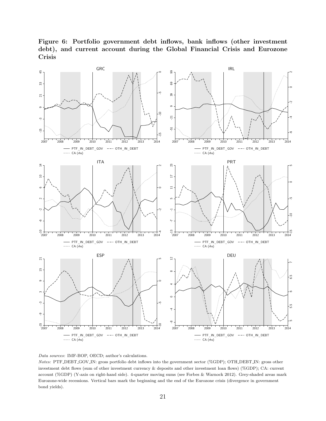Figure 6: Portfolio government debt inflows, bank inflows (other investment debt), and current account during the Global Financial Crisis and Eurozone Crisis

<span id="page-22-0"></span>



Notes: PTF DEBT GOV IN: gross portfolio debt inflows into the government sector (%GDP); OTH DEBT IN: gross other investment debt flows (sum of other investment currency & deposits and other investment loan flows) (%GDP); CA: current account (%GDP) (Y-axis on right-hand side). 4-quarter moving sums (see [Forbes & Warnock 2012\)](#page-28-7). Grey-shaded areas mark Eurozone-wide recessions. Vertical bars mark the beginning and the end of the Eurozone crisis (divergence in government bond yields).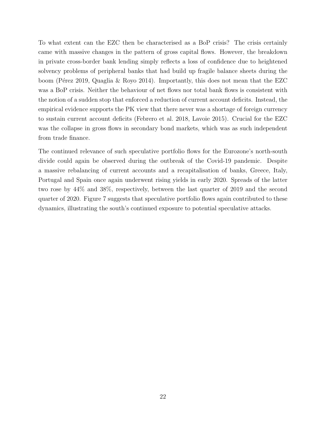To what extent can the EZC then be characterised as a BoP crisis? The crisis certainly came with massive changes in the pattern of gross capital flows. However, the breakdown in private cross-border bank lending simply reflects a loss of confidence due to heightened solvency problems of peripheral banks that had build up fragile balance sheets during the boom (Pérez 2019, [Quaglia & Royo 2014\)](#page-31-2). Importantly, this does not mean that the EZC was a BoP crisis. Neither the behaviour of net flows nor total bank flows is consistent with the notion of a sudden stop that enforced a reduction of current account deficits. Instead, the empirical evidence supports the PK view that there never was a shortage of foreign currency to sustain current account deficits [\(Febrero et al. 2018,](#page-28-10) [Lavoie 2015\)](#page-30-10). Crucial for the EZC was the collapse in gross flows in secondary bond markets, which was as such independent from trade finance.

The continued relevance of such speculative portfolio flows for the Eurozone's north-south divide could again be observed during the outbreak of the Covid-19 pandemic. Despite a massive rebalancing of current accounts and a recapitalisation of banks, Greece, Italy, Portugal and Spain once again underwent rising yields in early 2020. Spreads of the latter two rose by 44% and 38%, respectively, between the last quarter of 2019 and the second quarter of 2020. Figure [7](#page-24-0) suggests that speculative portfolio flows again contributed to these dynamics, illustrating the south's continued exposure to potential speculative attacks.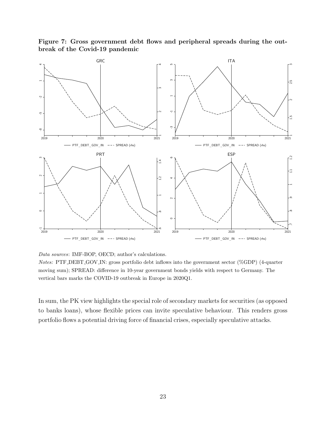<span id="page-24-0"></span>

Figure 7: Gross government debt flows and peripheral spreads during the outbreak of the Covid-19 pandemic

Data sources: IMF-BOP, OECD; author's calculations.

Notes: PTF DEBT GOV IN: gross portfolio debt inflows into the government sector (%GDP) (4-quarter moving sum); SPREAD: difference in 10-year government bonds yields with respect to Germany. The vertical bars marks the COVID-19 outbreak in Europe in 2020Q1.

In sum, the PK view highlights the special role of secondary markets for securities (as opposed to banks loans), whose flexible prices can invite speculative behaviour. This renders gross portfolio flows a potential driving force of financial crises, especially speculative attacks.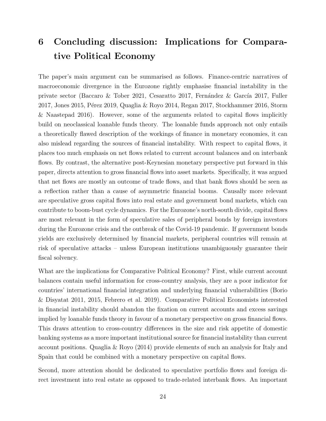# 6 Concluding discussion: Implications for Comparative Political Economy

The paper's main argument can be summarised as follows. Finance-centric narratives of macroeconomic divergence in the Eurozone rightly emphasise financial instability in the private sector [\(Baccaro & Tober 2021,](#page-27-0) [Cesaratto 2017,](#page-28-1) Fernández & García 2017, [Fuller](#page-29-5)  $2017$ , Jones 2015, Pérez 2019, Quaglia & Royo 2014, Regan [2017,](#page-29-5) [Stockhammer 2016,](#page-31-4) [Storm](#page-31-1) [& Naastepad 2016\)](#page-31-1). However, some of the arguments related to capital flows implicitly build on neoclassical loanable funds theory. The loanable funds approach not only entails a theoretically flawed description of the workings of finance in monetary economies, it can also mislead regarding the sources of financial instability. With respect to capital flows, it places too much emphasis on net flows related to current account balances and on interbank flows. By contrast, the alternative post-Keynesian monetary perspective put forward in this paper, directs attention to gross financial flows into asset markets. Specifically, it was argued that net flows are mostly an outcome of trade flows, and that bank flows should be seen as a reflection rather than a cause of asymmetric financial booms. Causally more relevant are speculative gross capital flows into real estate and government bond markets, which can contribute to boom-bust cycle dynamics. For the Eurozone's north-south divide, capital flows are most relevant in the form of speculative sales of peripheral bonds by foreign investors during the Eurozone crisis and the outbreak of the Covid-19 pandemic. If government bonds yields are exclusively determined by financial markets, peripheral countries will remain at risk of speculative attacks – unless European institutions unambiguously guarantee their fiscal solvency.

What are the implications for Comparative Political Economy? First, while current account balances contain useful information for cross-country analysis, they are a poor indicator for countries' international financial integration and underlying financial vulnerabilities [\(Borio](#page-27-3) [& Disyatat 2011,](#page-27-3) [2015,](#page-27-4) [Febrero et al. 2019\)](#page-28-3). Comparative Political Economists interested in financial instability should abandon the fixation on current accounts and excess savings implied by loanable funds theory in favour of a monetary perspective on gross financial flows. This draws attention to cross-country differences in the size and risk appetite of domestic banking systems as a more important institutional source for financial instability than current account positions. [Quaglia & Royo](#page-31-2) [\(2014\)](#page-31-2) provide elements of such an analysis for Italy and Spain that could be combined with a monetary perspective on capital flows.

Second, more attention should be dedicated to speculative portfolio flows and foreign direct investment into real estate as opposed to trade-related interbank flows. An important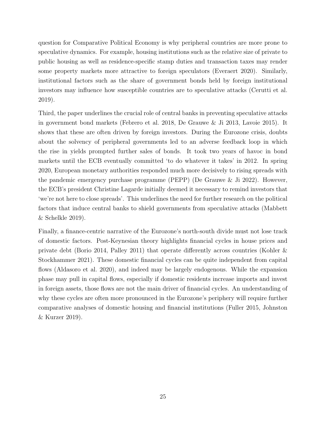question for Comparative Political Economy is why peripheral countries are more prone to speculative dynamics. For example, housing institutions such as the relative size of private to public housing as well as residence-specific stamp duties and transaction taxes may render some property markets more attractive to foreign speculators [\(Everaert 2020\)](#page-28-11). Similarly, institutional factors such as the share of government bonds held by foreign institutional investors may influence how susceptible countries are to speculative attacks [\(Cerutti et al.](#page-28-12) [2019\)](#page-28-12).

Third, the paper underlines the crucial role of central banks in preventing speculative attacks in government bond markets [\(Febrero et al. 2018,](#page-28-10) [De Grauwe & Ji 2013,](#page-28-9) [Lavoie 2015\)](#page-30-10). It shows that these are often driven by foreign investors. During the Eurozone crisis, doubts about the solvency of peripheral governments led to an adverse feedback loop in which the rise in yields prompted further sales of bonds. It took two years of havoc in bond markets until the ECB eventually committed 'to do whatever it takes' in 2012. In spring 2020, European monetary authorities responded much more decisively to rising spreads with the pandemic emergency purchase programme (PEPP) [\(De Grauwe & Ji 2022\)](#page-28-13). However, the ECB's president Christine Lagarde initially deemed it necessary to remind investors that 'we're not here to close spreads'. This underlines the need for further research on the political factors that induce central banks to shield governments from speculative attacks [\(Mabbett](#page-30-11) [& Schelkle 2019\)](#page-30-11).

Finally, a finance-centric narrative of the Eurozone's north-south divide must not lose track of domestic factors. Post-Keynesian theory highlights financial cycles in house prices and private debt [\(Borio 2014,](#page-27-12) [Palley 2011\)](#page-30-12) that operate differently across countries [\(Kohler &](#page-30-3) [Stockhammer 2021\)](#page-30-3). These domestic financial cycles can be quite independent from capital flows [\(Aldasoro et al. 2020\)](#page-27-9), and indeed may be largely endogenous. While the expansion phase may pull in capital flows, especially if domestic residents increase imports and invest in foreign assets, those flows are not the main driver of financial cycles. An understanding of why these cycles are often more pronounced in the Eurozone's periphery will require further comparative analyses of domestic housing and financial institutions [\(Fuller 2015,](#page-29-12) [Johnston](#page-30-13) [& Kurzer 2019\)](#page-30-13).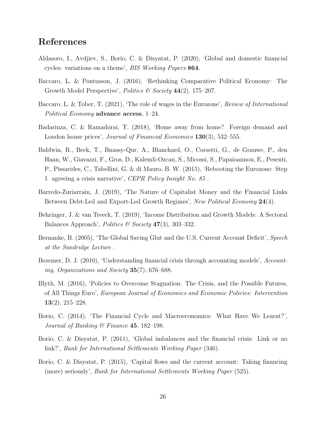### References

- <span id="page-27-9"></span>Aldasoro, I., Avdjiev, S., Borio, C. & Disyatat, P. (2020), 'Global and domestic financial cycles: variations on a theme', BIS Working Papers 864.
- <span id="page-27-1"></span>Baccaro, L. & Pontusson, J. (2016), 'Rethinking Comparative Political Economy: The Growth Model Perspective', *Politics* & Society 44(2), 175–207.
- <span id="page-27-0"></span>Baccaro, L. & Tober, T. (2021), 'The role of wages in the Eurozone', Review of International Political Economy advance access, 1–24.
- <span id="page-27-8"></span>Badarinza, C. & Ramadorai, T. (2018), 'Home away from home? Foreign demand and London house prices', *Journal of Financial Economics* **130**(3), 532–555.
- <span id="page-27-10"></span>Baldwin, R., Beck, T., Bnassy-Qur, A., Blanchard, O., Corsetti, G., de Grauwe, P., den Haan, W., Giavazzi, F., Gros, D., Kalemli-Ozcan, S., Micossi, S., Papaioannou, E., Pesenti, P., Pissarides, C., Tabellini, G. & di Mauro, B. W. (2015), 'Rebooting the Eurozone: Step 1 agreeing a crisis narrative', CEPR Policy Insight No. 85 .
- <span id="page-27-5"></span>Barredo-Zuriarrain, J. (2019), 'The Nature of Capitalist Money and the Financial Links Between Debt-Led and Export-Led Growth Regimes', New Political Economy 24(4).
- <span id="page-27-2"></span>Behringer, J. & van Treeck, T. (2019), 'Income Distribution and Growth Models: A Sectoral Balances Approach', Politics & Society  $47(3)$ , 303-332.
- <span id="page-27-6"></span>Bernanke, B. (2005), 'The Global Saving Glut and the U.S. Current Account Deficit', Speech at the Sandridge Lecture .
- <span id="page-27-7"></span>Bezemer, D. J. (2010), 'Understanding financial crisis through accounting models', Accounting, Organizations and Society 35(7), 676–688.
- <span id="page-27-11"></span>Blyth, M. (2016), 'Policies to Overcome Stagnation: The Crisis, and the Possible Futures, of All Things Euro', European Journal of Economics and Economic Policies: Intervention 13(2), 215–228.
- <span id="page-27-12"></span>Borio, C. (2014), 'The Financial Cycle and Macroeconomics: What Have We Learnt?', Journal of Banking  $\mathcal C$  Finance 45, 182–198.
- <span id="page-27-3"></span>Borio, C. & Disyatat, P. (2011), 'Global imbalances and the financial crisis: Link or no link?', Bank for International Settlements Working Paper (346).
- <span id="page-27-4"></span>Borio, C. & Disyatat, P. (2015), 'Capital flows and the current account: Taking financing (more) seriously', Bank for International Settlements Working Paper (525).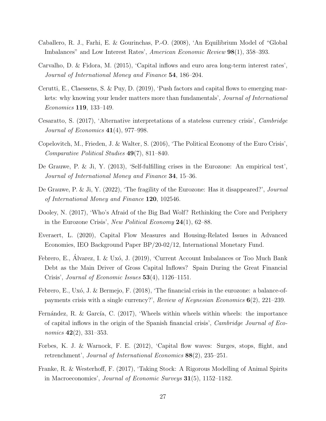- <span id="page-28-4"></span>Caballero, R. J., Farhi, E. & Gourinchas, P.-O. (2008), 'An Equilibrium Model of "Global Imbalances" and Low Interest Rates', American Economic Review 98(1), 358–393.
- <span id="page-28-8"></span>Carvalho, D. & Fidora, M. (2015), 'Capital inflows and euro area long-term interest rates', Journal of International Money and Finance 54, 186–204.
- <span id="page-28-12"></span>Cerutti, E., Claessens, S. & Puy, D. (2019), 'Push factors and capital flows to emerging markets: why knowing your lender matters more than fundamentals', *Journal of International* Economics 119, 133–149.
- <span id="page-28-1"></span>Cesaratto, S. (2017), 'Alternative interpretations of a stateless currency crisis', Cambridge Journal of Economics  $41(4)$ , 977–998.
- <span id="page-28-0"></span>Copelovitch, M., Frieden, J. & Walter, S. (2016), 'The Political Economy of the Euro Crisis', Comparative Political Studies 49(7), 811–840.
- <span id="page-28-9"></span>De Grauwe, P. & Ji, Y. (2013), 'Self-fulfilling crises in the Eurozone: An empirical test', Journal of International Money and Finance 34, 15–36.
- <span id="page-28-13"></span>De Grauwe, P. & Ji, Y. (2022), 'The fragility of the Eurozone: Has it disappeared?', Journal of International Money and Finance 120, 102546.
- <span id="page-28-6"></span>Dooley, N. (2017), 'Who's Afraid of the Big Bad Wolf? Rethinking the Core and Periphery in the Eurozone Crisis', New Political Economy  $24(1)$ , 62–88.
- <span id="page-28-11"></span>Everaert, L. (2020), Capital Flow Measures and Housing-Related Issues in Advanced Economies, IEO Background Paper BP/20-02/12, International Monetary Fund.
- <span id="page-28-3"></span>Febrero, E., Álvarez, I. & Uxó, J. (2019), 'Current Account Imbalances or Too Much Bank Debt as the Main Driver of Gross Capital Inflows? Spain During the Great Financial Crisis', Journal of Economic Issues 53(4), 1126–1151.
- <span id="page-28-10"></span>Febrero, E., Uxó, J. & Bermejo, F.  $(2018)$ , 'The financial crisis in the eurozone: a balance-ofpayments crisis with a single currency?', Review of Keynesian Economics 6(2), 221–239.
- <span id="page-28-2"></span>Fernández, R. & García, C. (2017), 'Wheels within wheels within wheels: the importance of capital inflows in the origin of the Spanish financial crisis', Cambridge Journal of Economics **42**(2), 331–353.
- <span id="page-28-7"></span>Forbes, K. J. & Warnock, F. E. (2012), 'Capital flow waves: Surges, stops, flight, and retrenchment', Journal of International Economics 88(2), 235–251.
- <span id="page-28-5"></span>Franke, R. & Westerhoff, F. (2017), 'Taking Stock: A Rigorous Modelling of Animal Spirits in Macroeconomics', Journal of Economic Surveys 31(5), 1152–1182.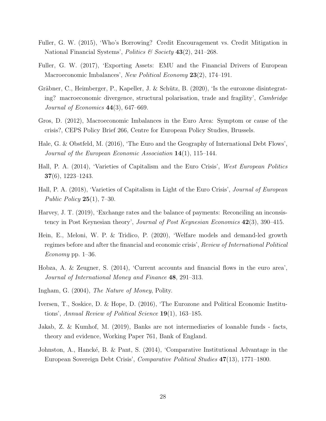- <span id="page-29-12"></span>Fuller, G. W. (2015), 'Who's Borrowing? Credit Encouragement vs. Credit Mitigation in National Financial Systems', Politics & Society 43(2), 241–268.
- <span id="page-29-5"></span>Fuller, G. W. (2017), 'Exporting Assets: EMU and the Financial Drivers of European Macroeconomic Imbalances', New Political Economy 23(2), 174–191.
- <span id="page-29-4"></span>Gräbner, C., Heimberger, P., Kapeller, J. & Schütz, B. (2020), 'Is the eurozone disintegrating? macroeconomic divergence, structural polarisation, trade and fragility', *Cambridge* Journal of Economics  $44(3)$ , 647–669.
- <span id="page-29-13"></span>Gros, D. (2012), Macroeconomic Imbalances in the Euro Area: Symptom or cause of the crisis?, CEPS Policy Brief 266, Centre for European Policy Studies, Brussels.
- <span id="page-29-10"></span>Hale, G. & Obstfeld, M. (2016), 'The Euro and the Geography of International Debt Flows', Journal of the European Economic Association 14(1), 115–144.
- <span id="page-29-2"></span>Hall, P. A. (2014), 'Varieties of Capitalism and the Euro Crisis', West European Politics 37(6), 1223–1243.
- <span id="page-29-0"></span>Hall, P. A. (2018), 'Varieties of Capitalism in Light of the Euro Crisis', *Journal of European Public Policy*  $25(1)$ , 7-30.
- <span id="page-29-9"></span>Harvey, J. T. (2019), 'Exchange rates and the balance of payments: Reconciling an inconsistency in Post Keynesian theory', Journal of Post Keynesian Economics 42(3), 390–415.
- <span id="page-29-6"></span>Hein, E., Meloni, W. P. & Tridico, P. (2020), 'Welfare models and demand-led growth regimes before and after the financial and economic crisis', Review of International Political Economy pp.  $1-36$ .
- <span id="page-29-11"></span>Hobza, A. & Zeugner, S. (2014), 'Current accounts and financial flows in the euro area', Journal of International Money and Finance 48, 291–313.
- <span id="page-29-8"></span>Ingham, G. (2004), The Nature of Money, Polity.
- <span id="page-29-1"></span>Iversen, T., Soskice, D. & Hope, D. (2016), 'The Eurozone and Political Economic Institutions', Annual Review of Political Science 19(1), 163–185.
- <span id="page-29-7"></span>Jakab, Z. & Kumhof, M. (2019), Banks are not intermediaries of loanable funds - facts, theory and evidence, Working Paper 761, Bank of England.
- <span id="page-29-3"></span>Johnston, A., Hancké, B. & Pant, S.  $(2014)$ , 'Comparative Institutional Advantage in the European Sovereign Debt Crisis', Comparative Political Studies 47(13), 1771–1800.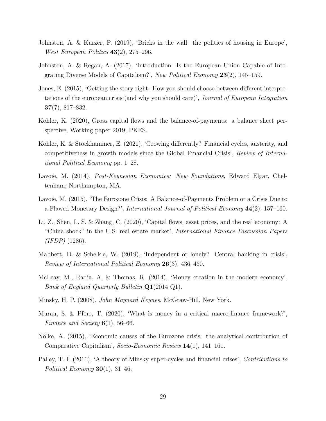- <span id="page-30-13"></span>Johnston, A. & Kurzer, P. (2019), 'Bricks in the wall: the politics of housing in Europe', *West European Politics*  $43(2)$ ,  $275-296$ .
- <span id="page-30-0"></span>Johnston, A. & Regan, A. (2017), 'Introduction: Is the European Union Capable of Integrating Diverse Models of Capitalism?', New Political Economy 23(2), 145–159.
- <span id="page-30-2"></span>Jones, E. (2015), 'Getting the story right: How you should choose between different interpretations of the european crisis (and why you should care)', Journal of European Integration 37(7), 817–832.
- <span id="page-30-8"></span>Kohler, K. (2020), Gross capital flows and the balance-of-payments: a balance sheet perspective, Working paper 2019, PKES.
- <span id="page-30-3"></span>Kohler, K. & Stockhammer, E. (2021), 'Growing differently? Financial cycles, austerity, and competitiveness in growth models since the Global Financial Crisis', Review of International Political Economy pp. 1–28.
- <span id="page-30-4"></span>Lavoie, M. (2014), *Post-Keynesian Economics: New Foundations*, Edward Elgar, Cheltenham; Northampton, MA.
- <span id="page-30-10"></span>Lavoie, M. (2015), 'The Eurozone Crisis: A Balance-of-Payments Problem or a Crisis Due to a Flawed Monetary Design?', International Journal of Political Economy 44(2), 157–160.
- <span id="page-30-9"></span>Li, Z., Shen, L. S. & Zhang, C. (2020), 'Capital flows, asset prices, and the real economy: A "China shock" in the U.S. real estate market', International Finance Discussion Papers  $(IFDP)$  (1286).
- <span id="page-30-11"></span>Mabbett, D. & Schelkle, W. (2019), 'Independent or lonely? Central banking in crisis', Review of International Political Economy 26(3), 436–460.
- <span id="page-30-5"></span>McLeay, M., Radia, A. & Thomas, R. (2014), 'Money creation in the modern economy', Bank of England Quarterly Bulletin Q1(2014 Q1).
- <span id="page-30-7"></span>Minsky, H. P. (2008), John Maynard Keynes, McGraw-Hill, New York.
- <span id="page-30-6"></span>Murau, S. & Pforr, T. (2020), 'What is money in a critical macro-finance framework?', Finance and Society  $6(1)$ , 56–66.
- <span id="page-30-1"></span>Nölke, A. (2015), 'Economic causes of the Eurozone crisis: the analytical contribution of Comparative Capitalism', Socio-Economic Review 14(1), 141–161.
- <span id="page-30-12"></span>Palley, T. I. (2011), 'A theory of Minsky super-cycles and financial crises', Contributions to Political Economy  $30(1)$ ,  $31-46$ .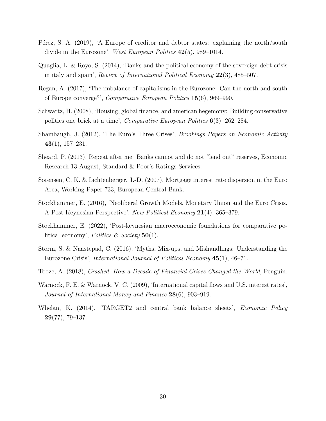- <span id="page-31-0"></span>Pérez, S. A. (2019), 'A Europe of creditor and debtor states: explaining the north/south divide in the Eurozone', West European Politics 42(5), 989–1014.
- <span id="page-31-2"></span>Quaglia, L. & Royo, S. (2014), 'Banks and the political economy of the sovereign debt crisis in italy and spain', *Review of International Political Economy*  $22(3)$ ,  $485-507$ .
- <span id="page-31-3"></span>Regan, A. (2017), 'The imbalance of capitalisms in the Eurozone: Can the north and south of Europe converge?', Comparative European Politics 15(6), 969–990.
- <span id="page-31-7"></span>Schwartz, H. (2008), 'Housing, global finance, and american hegemony: Building conservative politics one brick at a time', *Comparative European Politics*  $6(3)$ , 262–284.
- <span id="page-31-11"></span>Shambaugh, J. (2012), 'The Euro's Three Crises', Brookings Papers on Economic Activity  $43(1), 157-231.$
- <span id="page-31-8"></span>Sheard, P. (2013), Repeat after me: Banks cannot and do not "lend out" reserves, Economic Research 13 August, Standard & Poor's Ratings Services.
- <span id="page-31-12"></span>Sorensen, C. K. & Lichtenberger, J.-D. (2007), Mortgage interest rate dispersion in the Euro Area, Working Paper 733, European Central Bank.
- <span id="page-31-4"></span>Stockhammer, E. (2016), 'Neoliberal Growth Models, Monetary Union and the Euro Crisis. A Post-Keynesian Perspective', New Political Economy 21(4), 365–379.
- <span id="page-31-5"></span>Stockhammer, E. (2022), 'Post-keynesian macroeconomic foundations for comparative political economy', *Politics*  $\mathcal B$  Society 50(1).
- <span id="page-31-1"></span>Storm, S. & Naastepad, C. (2016), 'Myths, Mix-ups, and Mishandlings: Understanding the Eurozone Crisis', International Journal of Political Economy 45(1), 46–71.
- <span id="page-31-6"></span>Tooze, A. (2018), Crashed. How a Decade of Financial Crises Changed the World, Penguin.
- <span id="page-31-10"></span>Warnock, F. E. & Warnock, V. C. (2009), 'International capital flows and U.S. interest rates', Journal of International Money and Finance 28(6), 903–919.
- <span id="page-31-9"></span>Whelan, K. (2014), 'TARGET2 and central bank balance sheets', *Economic Policy*  $29(77), 79-137.$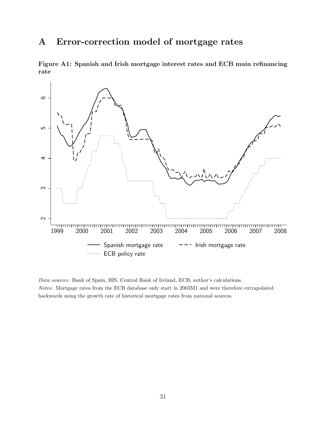## <span id="page-32-0"></span>A Error-correction model of mortgage rates

Figure A1: Spanish and Irish mortgage interest rates and ECB main refinancing rate



Data sources: Bank of Spain, BIS, Central Bank of Ireland, ECB; author's calculations. Notes: Mortgage rates from the ECB database only start in 2003M1 and were therefore extrapolated backwards using the growth rate of historical mortgage rates from national sources.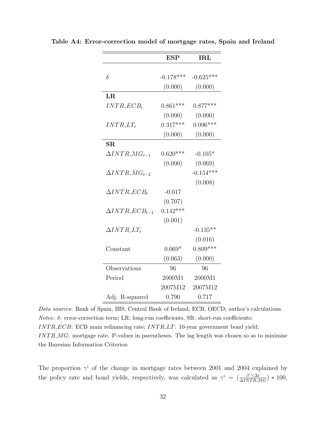|                          | <b>ESP</b>  | $\operatorname{IRL}$ |
|--------------------------|-------------|----------------------|
|                          |             |                      |
| $\delta$                 | $-0.178***$ | $-0.625***$          |
|                          | (0.000)     | (0.000)              |
| LR                       |             |                      |
| $INTR\_ECB_t$            | $0.861***$  | $0.877***$           |
|                          | (0.000)     | (0.000)              |
| $INTR\_LT_t$             | $0.317***$  | $0.096***$           |
|                          | (0.000)     | (0.000)              |
| $\overline{\text{SR}}$   |             |                      |
| $\Delta INTR_MG_{t-1}$   | $0.620***$  | $-0.105*$            |
|                          | (0.000)     | (0.069)              |
| $\Delta INTR\_MG_{t-2}$  |             | $-0.154***$          |
|                          |             | (0.008)              |
| $\Delta INTR\_ECB_t$     | $-0.017$    |                      |
|                          | (0.707)     |                      |
| $\Delta INTR\_ECB_{t-1}$ | $0.142***$  |                      |
|                          | (0.001)     |                      |
| $\Delta INTR\_LT_t$      |             | $-0.135**$           |
|                          |             | (0.016)              |
| Constant                 | $0.069*$    | $0.809***$           |
|                          | (0.063)     | (0.000)              |
| Observations             | 96          | 96                   |
| Period                   | 2000M1      | 2000M1               |
|                          | 2007M12     | 2007M12              |
| Adj. R-squared           | 0.790       | 0.717                |

Table A4: Error-correction model of mortgage rates, Spain and Ireland

Data sources: Bank of Spain, BIS, Central Bank of Ireland, ECB, OECD; author's calculations. Notes:  $\delta$ : error-correction term; LR: long-run coefficients, SR: short-run coefficients;  $INT R\_ECB$ : ECB main refinancing rate;  $INT R\_LT$ : 10-year government bond yield;  $INTR\_MG$ : mortgage rate. P-values in parentheses. The lag length was chosen so as to minimise the Bayesian Information Criterion

The proportion  $\gamma^{i}$  of the change in mortgage rates between 2001 and 2004 explained by the policy rate and bond yields, respectively, was calculated as  $\gamma^i = \left(\frac{\beta^i \times \Delta i}{\Delta INTR.MG}\right) * 100$ ,